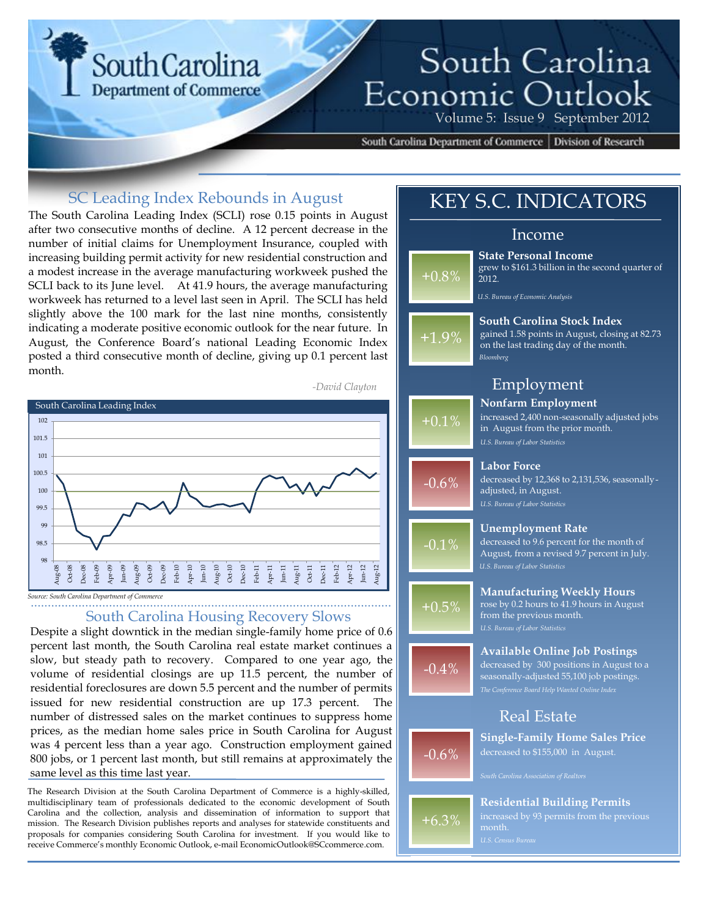# **South Carolina Department of Commerce**

# South Carolina Economic Outlook Volume 5: Issue 9 September 2012

South Carolina Department of Commerce | Division of Research

### SC Leading Index Rebounds in August

The South Carolina Leading Index (SCLI) rose 0.15 points in August after two consecutive months of decline. A 12 percent decrease in the number of initial claims for Unemployment Insurance, coupled with increasing building permit activity for new residential construction and a modest increase in the average manufacturing workweek pushed the SCLI back to its June level. At 41.9 hours, the average manufacturing workweek has returned to a level last seen in April. The SCLI has held slightly above the 100 mark for the last nine months, consistently indicating a moderate positive economic outlook for the near future. In August, the Conference Board's national Leading Economic Index posted a third consecutive month of decline, giving up 0.1 percent last month.



*Source: South Carolina Department of Commerce*

## South Carolina Housing Recovery Slows

Despite a slight downtick in the median single-family home price of 0.6 percent last month, the South Carolina real estate market continues a slow, but steady path to recovery. Compared to one year ago, the volume of residential closings are up 11.5 percent, the number of residential foreclosures are down 5.5 percent and the number of permits issued for new residential construction are up 17.3 percent. The number of distressed sales on the market continues to suppress home prices, as the median home sales price in South Carolina for August was 4 percent less than a year ago. Construction employment gained 800 jobs, or 1 percent last month, but still remains at approximately the same level as this time last year.

The Research Division at the South Carolina Department of Commerce is a highly-skilled, multidisciplinary team of professionals dedicated to the economic development of South Carolina and the collection, analysis and dissemination of information to support that mission. The Research Division publishes reports and analyses for statewide constituents and proposals for companies considering South Carolina for investment. If you would like to receive Commerce's monthly Economic Outlook, e-mail EconomicOutlook@SCcommerce.com.

### $-0.6\%$ +6.3% +1.9% +0.8%  $+0.1%$  $-0.6%$ -0.1% +0.5% -0.4% *Bloomberg* **South Carolina Stock Index** gained 1.58 points in August, closing at 82.73 on the last trading day of the month. *U.S. Bureau of Economic Analysis* **State Personal Income** grew to \$161.3 billion in the second quarter of 2012. *U.S. Bureau of Labor Statistics* **Nonfarm Employment** increased 2,400 non-seasonally adjusted jobs in August from the prior month. **Labor Force** decreased by 12,368 to 2,131,536, seasonallyadjusted, in August. *U.S. Bureau of Labor Statistics* **Unemployment Rate** decreased to 9.6 percent for the month of August, from a revised 9.7 percent in July. *U.S. Bureau of Labor Statistics* **Manufacturing Weekly Hours** rose by 0.2 hours to 41.9 hours in August from the previous month. **Available Online Job Postings** decreased by 300 positions in August to a seasonally-adjusted 55,100 job postings. **Single-Family Home Sales Price** decreased to \$155,000 in August. **Residential Building Permits** KEY S.C. INDICATORS Income Employment Real Estate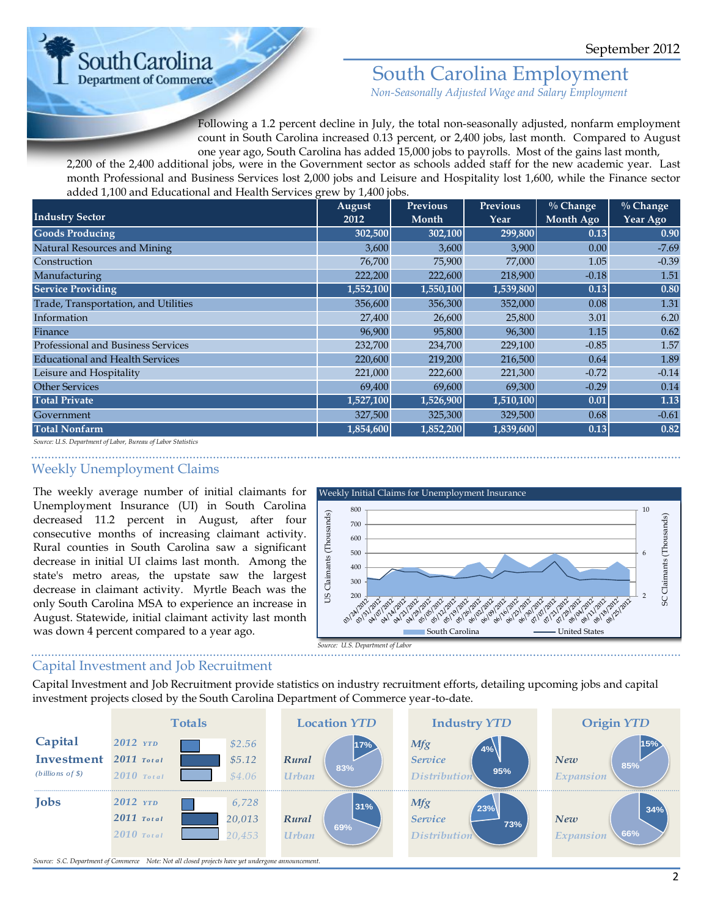

# South Carolina Employment

*Non-Seasonally Adjusted Wage and Salary Employment*

Following a 1.2 percent decline in July, the total non-seasonally adjusted, nonfarm employment count in South Carolina increased 0.13 percent, or 2,400 jobs, last month. Compared to August one year ago, South Carolina has added 15,000 jobs to payrolls. Most of the gains last month,

2,200 of the 2,400 additional jobs, were in the Government sector as schools added staff for the new academic year. Last month Professional and Business Services lost 2,000 jobs and Leisure and Hospitality lost 1,600, while the Finance sector added 1,100 and Educational and Health Services grew by 1,400 jobs.

| <b>Industry Sector</b>                 | August<br>2012 | <b>Previous</b><br>Month | <b>Previous</b><br>Year | $%$ Change<br>Month Ago | $\frac{0}{0}$ Change<br><b>Year Ago</b> |
|----------------------------------------|----------------|--------------------------|-------------------------|-------------------------|-----------------------------------------|
| <b>Goods Producing</b>                 | 302,500        | 302,100                  | 299,800                 | 0.13                    | 0.90                                    |
| Natural Resources and Mining           | 3,600          | 3,600                    | 3,900                   | 0.00                    | $-7.69$                                 |
| Construction                           | 76,700         | 75,900                   | 77,000                  | 1.05                    | $-0.39$                                 |
| Manufacturing                          | 222,200        | 222,600                  | 218,900                 | $-0.18$                 | 1.51                                    |
| <b>Service Providing</b>               | 1,552,100      | 1,550,100                | 1,539,800               | 0.13                    | 0.80                                    |
| Trade, Transportation, and Utilities   | 356,600        | 356,300                  | 352,000                 | 0.08                    | 1.31                                    |
| Information                            | 27,400         | 26,600                   | 25,800                  | 3.01                    | 6.20                                    |
| Finance                                | 96,900         | 95,800                   | 96,300                  | 1.15                    | 0.62                                    |
| Professional and Business Services     | 232,700        | 234,700                  | 229,100                 | $-0.85$                 | 1.57                                    |
| <b>Educational and Health Services</b> | 220,600        | 219,200                  | 216,500                 | 0.64                    | 1.89                                    |
| Leisure and Hospitality                | 221,000        | 222,600                  | 221,300                 | $-0.72$                 | $-0.14$                                 |
| <b>Other Services</b>                  | 69,400         | 69,600                   | 69,300                  | $-0.29$                 | 0.14                                    |
| <b>Total Private</b>                   | 1,527,100      | 1,526,900                | 1,510,100               | 0.01                    | 1.13                                    |
| Government                             | 327,500        | 325,300                  | 329,500                 | 0.68                    | $-0.61$                                 |
| <b>Total Nonfarm</b>                   | 1,854,600      | 1,852,200                | 1,839,600               | 0.13                    | 0.82                                    |

*Source: U.S. Department of Labor, Bureau of Labor Statistics*

### Weekly Unemployment Claims

The weekly average number of initial claimants for Unemployment Insurance (UI) in South Carolina decreased 11.2 percent in August, after four consecutive months of increasing claimant activity. Rural counties in South Carolina saw a significant decrease in initial UI claims last month. Among the state's metro areas, the upstate saw the largest decrease in claimant activity. Myrtle Beach was the only South Carolina MSA to experience an increase in August. Statewide, initial claimant activity last month was down 4 percent compared to a year ago.



### Capital Investment and Job Recruitment

Capital Investment and Job Recruitment provide statistics on industry recruitment efforts, detailing upcoming jobs and capital investment projects closed by the South Carolina Department of Commerce year-to-date.

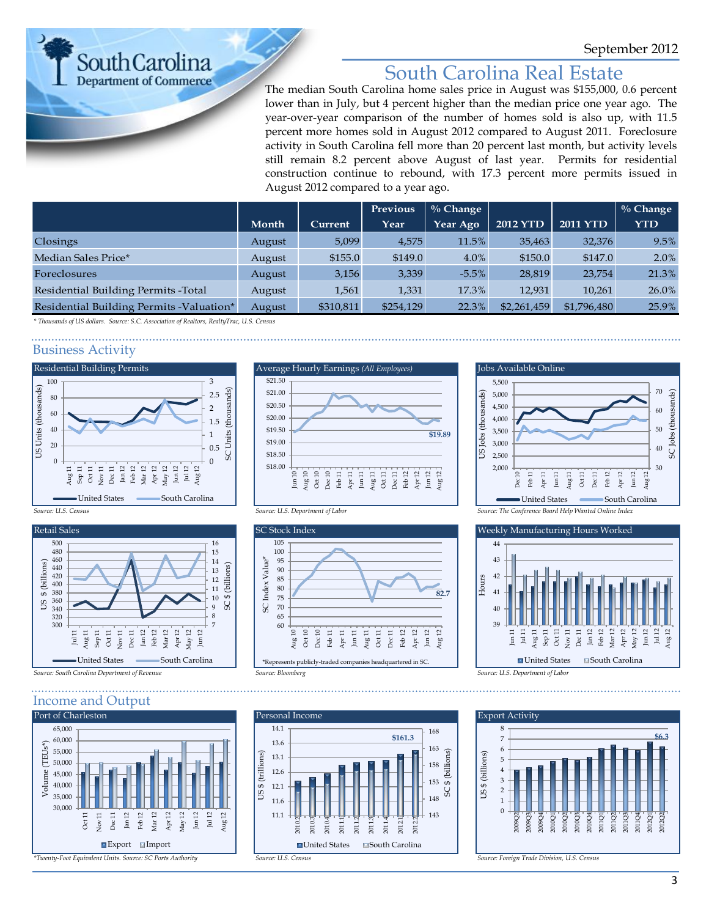**South Carolina Department of Commerce** 

# South Carolina Real Estate

The median South Carolina home sales price in August was \$155,000, 0.6 percent lower than in July, but 4 percent higher than the median price one year ago. The year-over-year comparison of the number of homes sold is also up, with 11.5 percent more homes sold in August 2012 compared to August 2011. Foreclosure activity in South Carolina fell more than 20 percent last month, but activity levels still remain 8.2 percent above August of last year. Permits for residential construction continue to rebound, with 17.3 percent more permits issued in August 2012 compared to a year ago.

|                                           |        |           | Previous  | $\%$ Change |                 |                 | $\%$ Change |
|-------------------------------------------|--------|-----------|-----------|-------------|-----------------|-----------------|-------------|
|                                           | Month  | Current   | Year      | Year Ago    | <b>2012 YTD</b> | <b>2011 YTD</b> | <b>YTD</b>  |
| Closings                                  | August | 5,099     | 4,575     | 11.5%       | 35,463          | 32,376          | 9.5%        |
| Median Sales Price*                       | August | \$155.0   | \$149.0   | $4.0\%$     | \$150.0         | \$147.0         | $2.0\%$     |
| Foreclosures                              | August | 3,156     | 3,339     | $-5.5\%$    | 28,819          | 23,754          | 21.3%       |
| Residential Building Permits - Total      | August | 1,561     | 1,331     | 17.3%       | 12,931          | 10,261          | 26.0%       |
| Residential Building Permits - Valuation* | August | \$310,811 | \$254,129 | 22.3%       | \$2,261,459     | \$1,796,480     | 25.9%       |

*\* Thousands of US dollars. Source: S.C. Association of Realtors, RealtyTrac, U.S. Census*

### Business Activity





#### Income and Output